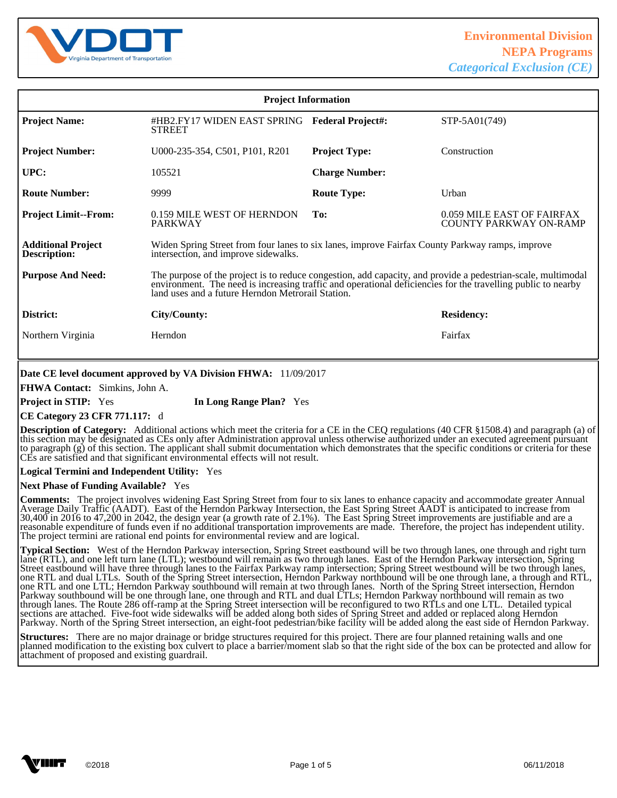

| <b>Project Information</b>                       |                                                                                                                                                                                                                                                                                |                          |                                                             |
|--------------------------------------------------|--------------------------------------------------------------------------------------------------------------------------------------------------------------------------------------------------------------------------------------------------------------------------------|--------------------------|-------------------------------------------------------------|
| <b>Project Name:</b>                             | #HB2.FY17 WIDEN EAST SPRING<br><b>STREET</b>                                                                                                                                                                                                                                   | <b>Federal Project#:</b> | STP-5A01(749)                                               |
| <b>Project Number:</b>                           | U000-235-354, C501, P101, R201                                                                                                                                                                                                                                                 | <b>Project Type:</b>     | Construction                                                |
| UPC:                                             | 105521                                                                                                                                                                                                                                                                         | <b>Charge Number:</b>    |                                                             |
| <b>Route Number:</b>                             | 9999                                                                                                                                                                                                                                                                           | <b>Route Type:</b>       | Urban                                                       |
| <b>Project Limit--From:</b>                      | 0.159 MILE WEST OF HERNDON<br><b>PARKWAY</b>                                                                                                                                                                                                                                   | To:                      | 0.059 MILE EAST OF FAIRFAX<br><b>COUNTY PARKWAY ON-RAMP</b> |
| <b>Additional Project</b><br><b>Description:</b> | Widen Spring Street from four lanes to six lanes, improve Fairfax County Parkway ramps, improve<br>intersection, and improve sidewalks.                                                                                                                                        |                          |                                                             |
| <b>Purpose And Need:</b>                         | The purpose of the project is to reduce congestion, add capacity, and provide a pedestrian-scale, multimodal environment. The need is increasing traffic and operational deficiencies for the travelling public to nearby<br>land uses and a future Herndon Metrorail Station. |                          |                                                             |
| District:                                        | City/County:                                                                                                                                                                                                                                                                   |                          | <b>Residency:</b>                                           |
| Northern Virginia                                | Herndon                                                                                                                                                                                                                                                                        |                          | Fairfax                                                     |

### **Date CE level document approved by VA Division FHWA:** 11/09/2017

**FHWA Contact:** Simkins, John A.

**Project in STIP:** Yes **In Long Range Plan?** Yes

### **CE Category 23 CFR 771.117:** d

**Description of Category:** Additional actions which meet the criteria for a CE in the CEQ regulations (40 CFR §1508.4) and paragraph (a) of this section may be designated as CEs only after Administration approval unless otherwise authorized under an executed agreement pursuant to paragraph (g) of this section. The applicant shall submit documentation which demonstrates that the specific conditions or criteria for these CEs are satisfied and that significant environmental effects will not result.

l

#### **Logical Termini and Independent Utility:** Yes

#### **Next Phase of Funding Available?** Yes

**Comments:** The project involves widening East Spring Street from four to six lanes to enhance capacity and accommodate greater Annual Average Daily Traffic (AADT). East of the Herndon Parkway Intersection, the East Spring Street AADT is anticipated to increase from 30,400 in 2016 to 47,200 in 2042, the design year (a growth rate of 2.1%). The East Spring Street improvements are justifiable and are a reasonable expenditure of funds even if no additional transportation improvements are made. Therefore, the project has independent utility. The project termini are rational end points for environmental review and are logical.

**Typical Section:** West of the Herndon Parkway intersection, Spring Street eastbound will be two through lanes, one through and right turn lane (RTL), and one left turn lane (LTL); westbound will remain as two through lanes. East of the Herndon Parkway intersection, Spring Street eastbound will have three through lanes to the Fairfax Parkway ramp intersection; Spring Street westbound will be two through lanes, one RTL and dual LTLs. South of the Spring Street intersection, Herndon Parkway northbound will be one through lane, a through and RTL, one RTL and one LTL; Herndon Parkway southbound will remain at two through lanes. North of the Spring Street intersection, Herndon Parkway southbound will be one through lane, one through and RTL and dual LTLs; Herndon Parkway northbound will remain as two through lanes. The Route 286 off-ramp at the Spring Street intersection will be reconfigured to two RTLs and one LTL. Detailed typical sections are attached. Five-foot wide sidewalks will be added along both sides of Spring Street and added or replaced along Herndon Parkway. North of the Spring Street intersection, an eight-foot pedestrian/bike facility will be added along the east side of Herndon Parkway.

**Structures:** There are no major drainage or bridge structures required for this project. There are four planned retaining walls and one planned modification to the existing box culvert to place a barrier/moment slab so that the right side of the box can be protected and allow for attachment of proposed and existing guardrail. l

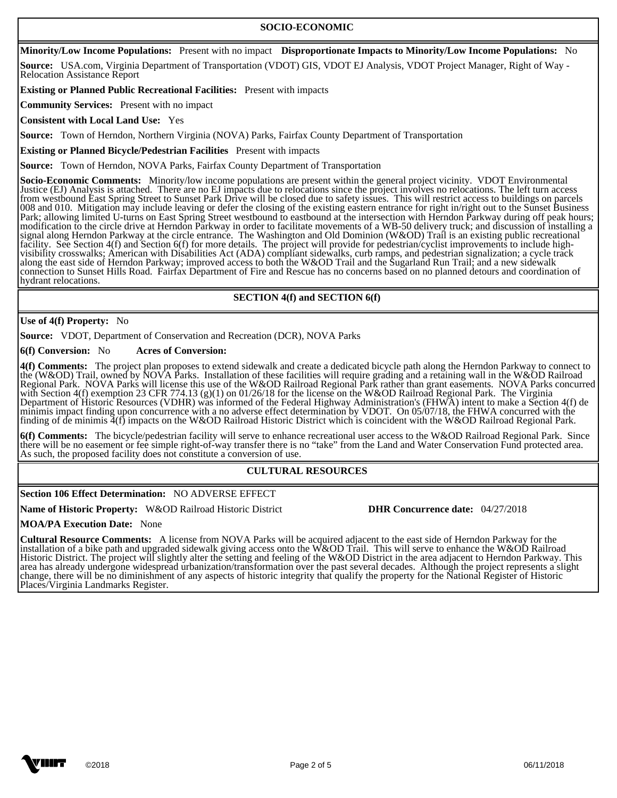### **SOCIO-ECONOMIC**

**Minority/Low Income Populations:** Present with no impact **Disproportionate Impacts to Minority/Low Income Populations:** No

**Source:** USA.com, Virginia Department of Transportation (VDOT) GIS, VDOT EJ Analysis, VDOT Project Manager, Right of Way - Relocation Assistance Report

**Existing or Planned Public Recreational Facilities:** Present with impacts

**Community Services:** Present with no impact

**Consistent with Local Land Use:** Yes

l

 $\overline{a}$ 

 $\overline{a}$ 

**Source:** Town of Herndon, Northern Virginia (NOVA) Parks, Fairfax County Department of Transportation

**Existing or Planned Bicycle/Pedestrian Facilities** Present with impacts

**Source:** Town of Herndon, NOVA Parks, Fairfax County Department of Transportation

**Socio-Economic Comments:** Minority/low income populations are present within the general project vicinity. VDOT Environmental Justice (EJ) Analysis is attached. There are no EJ impacts due to relocations since the project involves no relocations. The left turn access from westbound East Spring Street to Sunset Park Drive will be closed due to safety issues. This will restrict access to buildings on parcels 008 and 010. Mitigation may include leaving or defer the closing of the existing eastern entrance for right in/right out to the Sunset Business Park; allowing limited U-turns on East Spring Street westbound to eastbound at the intersection with Herndon Parkway during off peak hours; modification to the circle drive at Herndon Parkway in order to facilitate movements of a WB-50 delivery truck; and discussion of installing a signal along Herndon Parkway at the circle entrance. The Washington and Old Dominion (W&OD) Trail is an existing public recreational facility. See Section 4(f) and Section 6(f) for more details. The project will provide for pedestrian/cyclist improvements to include highvisibility crosswalks; American with Disabilities Act (ADA) compliant sidewalks, curb ramps, and pedestrian signalization; a cycle track along the east side of Herndon Parkway; improved access to both the W&OD Trail and the Sugarland Run Trail; and a new sidewalk connection to Sunset Hills Road. Fairfax Department of Fire and Rescue has no concerns based on no planned detours and coordination of hydrant relocations. 1

### **SECTION 4(f) and SECTION 6(f)**

#### **Use of 4(f) Property:** No

**Source:** VDOT, Department of Conservation and Recreation (DCR), NOVA Parks

#### **6(f) Conversion:** No **Acres of Conversion:**

**4(f) Comments:** The project plan proposes to extend sidewalk and create a dedicated bicycle path along the Herndon Parkway to connect to the (W&OD) Trail, owned by NOVA Parks. Installation of these facilities will require grading and a retaining wall in the W&OD Railroad Regional Park. NOVA Parks will license this use of the W&OD Railroad Regional Park rather than grant easements. NOVA Parks concurred with Section 4(f) exemption 23 CFR 774.13 (g)(1) on 01/26/18 for the license on the W&OD Railroad Regional Park. The Virginia Department of Historic Resources (VDHR) was informed of the Federal Highway Administration's (FHWA) intent to make a Section 4(f) de minimis impact finding upon concurrence with a no adverse effect determination by VDOT. On 05/07/18, the FHWA concurred with the finding of de minimis  $\frac{3}{11}$  impacts on the W&OD Railroad Historic District which is coincident with the W&OD Railroad Regional Park.

**6(f) Comments:** The bicycle/pedestrian facility will serve to enhance recreational user access to the W&OD Railroad Regional Park. Since there will be no easement or fee simple right-of-way transfer there is no "take" from the Land and Water Conservation Fund protected area. As such, the proposed facility does not constitute a conversion of use. l

### **CULTURAL RESOURCES**

### **Section 106 Effect Determination:** NO ADVERSE EFFECT

**Name of Historic Property:** W&OD Railroad Historic District **DHR Concurrence date:** 04/27/2018

**MOA/PA Execution Date:** None

**Cultural Resource Comments:** A license from NOVA Parks will be acquired adjacent to the east side of Herndon Parkway for the installation of a bike path and upgraded sidewalk giving access onto the W&OD Trail. This will serve to enhance the W&OD Railroad Historic District. The project will slightly alter the setting and feeling of the W&OD District in the area adjacent to Herndon Parkway. This area has already undergone widespread urbanization/transformation over the past several decades. Although the project represents a slight change, there will be no diminishment of any aspects of historic integrity that qualify the property for the National Register of Historic Places/Virginia Landmarks Register.  $\overline{a}$ 

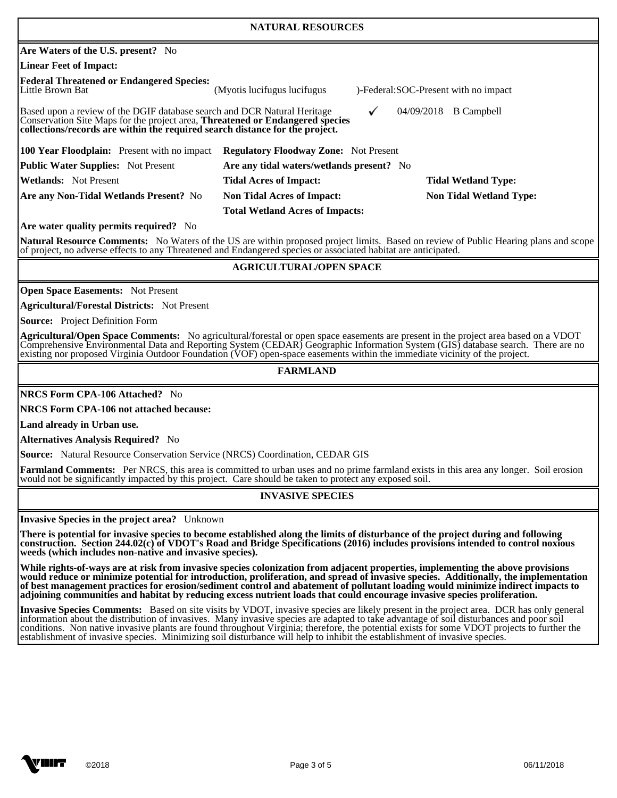| <b>NATURAL RESOURCES</b>                                                                                                                                                                                                                                                                 |                                           |                                      |  |  |
|------------------------------------------------------------------------------------------------------------------------------------------------------------------------------------------------------------------------------------------------------------------------------------------|-------------------------------------------|--------------------------------------|--|--|
| <b>Are Waters of the U.S. present?</b> No                                                                                                                                                                                                                                                |                                           |                                      |  |  |
| Linear Feet of Impact:                                                                                                                                                                                                                                                                   |                                           |                                      |  |  |
| <b>Federal Threatened or Endangered Species:</b><br>Little Brown Bat                                                                                                                                                                                                                     | (Myotis lucifugus lucifugus)              | )-Federal:SOC-Present with no impact |  |  |
| Based upon a review of the DGIF database search and DCR Natural Heritage<br>04/09/2018<br><b>B</b> Campbell<br>✓<br>Conservation Site Maps for the project area, <b>Threatened or Endangered species</b><br>collections/records are within the required search distance for the project. |                                           |                                      |  |  |
| <b>100 Year Floodplain:</b> Present with no impact<br><b>Regulatory Floodway Zone:</b> Not Present                                                                                                                                                                                       |                                           |                                      |  |  |
| <b>Public Water Supplies:</b> Not Present                                                                                                                                                                                                                                                | Are any tidal waters/wetlands present? No |                                      |  |  |
| <b>IWetlands:</b> Not Present                                                                                                                                                                                                                                                            | <b>Tidal Acres of Impact:</b>             | <b>Tidal Wetland Type:</b>           |  |  |
| Are any Non-Tidal Wetlands Present? No                                                                                                                                                                                                                                                   | <b>Non Tidal Acres of Impact:</b>         | <b>Non Tidal Wetland Type:</b>       |  |  |
| <b>Total Wetland Acres of Impacts:</b>                                                                                                                                                                                                                                                   |                                           |                                      |  |  |
| <b>Are water quality permits required?</b> No                                                                                                                                                                                                                                            |                                           |                                      |  |  |
| Natural Resource Comments: No Waters of the US are within proposed project limits. Based on review of Public Hearing plans and scope<br>of project, no adverse effects to any Threatened and Endangered species or associated habitat are anticipated.                                   |                                           |                                      |  |  |

# **AGRICULTURAL/OPEN SPACE**

**Open Space Easements:** Not Present

**Agricultural/Forestal Districts:** Not Present

**Source:** Project Definition Form

 $\overline{a}$ 

 $\overline{a}$ 

 $\overline{a}$ 

**Agricultural/Open Space Comments:** No agricultural/forestal or open space easements are present in the project area based on a VDOT Comprehensive Environmental Data and Reporting System (CEDAR) Geographic Information System (GIS) database search. There are no existing nor proposed Virginia Outdoor Foundation (VOF) open-space easements within the immediate vicinity of the project.

### **FARMLAND**

**NRCS Form CPA-106 Attached?** No

**NRCS Form CPA-106 not attached because:** 

**Land already in Urban use.** 

**Alternatives Analysis Required?** No

**Source:** Natural Resource Conservation Service (NRCS) Coordination, CEDAR GIS

Farmland Comments: Per NRCS, this area is committed to urban uses and no prime farmland exists in this area any longer. Soil erosion would not be significantly impacted by this project. Care should be taken to protect any exposed soil.

### **INVASIVE SPECIES**

**Invasive Species in the project area?** Unknown

**There is potential for invasive species to become established along the limits of disturbance of the project during and following construction. Section 244.02(c) of VDOT's Road and Bridge Specifications (2016) includes provisions intended to control noxious weeds (which includes non-native and invasive species).** 

**While rights-of-ways are at risk from invasive species colonization from adjacent properties, implementing the above provisions would reduce or minimize potential for introduction, proliferation, and spread of invasive species. Additionally, the implementation of best management practices for erosion/sediment control and abatement of pollutant loading would minimize indirect impacts to adjoining communities and habitat by reducing excess nutrient loads that could encourage invasive species proliferation.** 

**Invasive Species Comments:** Based on site visits by VDOT, invasive species are likely present in the project area. DCR has only general information about the distribution of invasives. Many invasive species are adapted to take advantage of soil disturbances and poor soil conditions. Non native invasive plants are found throughout Virginia; therefore, the potential exists for some VDOT projects to further the establishment of invasive species. Minimizing soil disturbance will help to inhibit the establishment of invasive species.

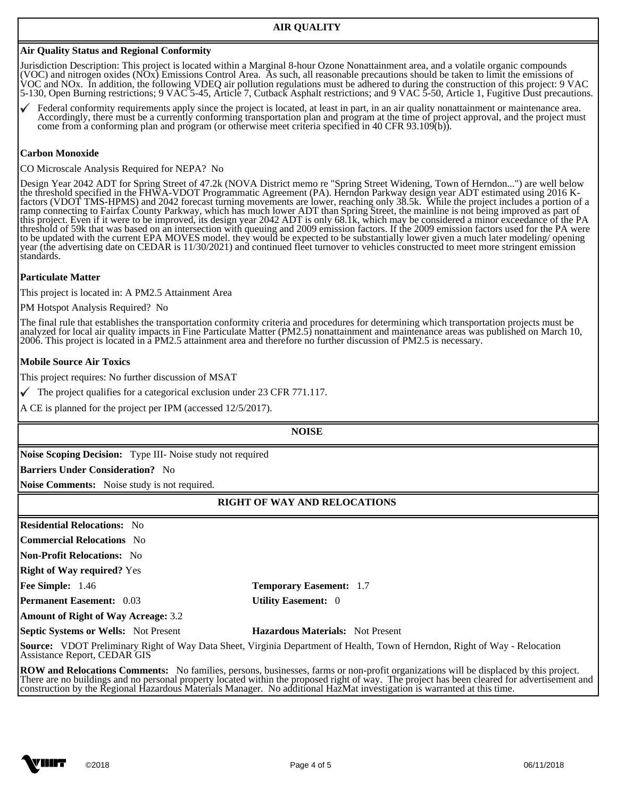## **Air Quality Status and Regional Conformity**

Jurisdiction Description: This project is located within a Marginal 8-hour Ozone Nonattainment area, and a volatile organic compounds (VOC) and nitrogen oxides (NOx) Emissions Control Area. As such, all reasonable precautions should be taken to limit the emissions of VOC and NOx. In addition, the following VDEQ air pollution regulations must be adhered to during the construction of this project: 9 VAC 5-130, Open Burning restrictions; 9 VAC 5-45, Article 7, Cutback Asphalt restrictions; and 9 VAC 5-50, Article 1, Fugitive Dust precautions.

Federal conformity requirements apply since the project is located, at least in part, in an air quality nonattainment or maintenance area. Accordingly, there must be a currently conforming transportation plan and program at the time of project approval, and the project must come from a conforming plan and program (or otherwise meet criteria specified in 40 CFR 93.109(b)).

#### **Carbon Monoxide**

 $\overline{a}$ 

CO Microscale Analysis Required for NEPA? No

Design Year 2042 ADT for Spring Street of 47.2k (NOVA District memo re "Spring Street Widening, Town of Herndon...") are well below the threshold specified in the FHWA-VDOT Programmatic Agreement (PA). Herndon Parkway design year ADT estimated using 2016 Kfactors (VDOT TMS-HPMS) and 2042 forecast turning movements are lower, reaching only 38.5k. While the project includes a portion of a ramp connecting to Fairfax County Parkway, which has much lower ADT than Spring Street, the mainline is not being improved as part of this project. Even if it were to be improved, its design year 2042 ADT is only 68.1k, which may be considered a minor exceedance of the PA threshold of 59k that was based on an intersection with queuing and 2009 emission factors. If the 2009 emission factors used for the PA were to be updated with the current EPA MOVES model. they would be expected to be substantially lower given a much later modeling/ opening year (the advertising date on CEDAR is 11/30/2021) and continued fleet turnover to vehicles constructed to meet more stringent emission standards.

#### **Particulate Matter**

This project is located in: A PM2.5 Attainment Area

PM Hotspot Analysis Required? No

The final rule that establishes the transportation conformity criteria and procedures for determining which transportation projects must be analyzed for local air quality impacts in Fine Particulate Matter (PM2.5) nonattainment and maintenance areas was published on March 10, 2006. This project is located in a PM2.5 attainment area and therefore no further discussion of PM2.5 is necessary.

#### **Mobile Source Air Toxics**

This project requires: No further discussion of MSAT

 $\checkmark$  The project qualifies for a categorical exclusion under 23 CFR 771.117.

A CE is planned for the project per IPM (accessed 12/5/2017).

l **NOISE** 

**Noise Scoping Decision:** Type III- Noise study not required

**Barriers Under Consideration?** No

**Noise Comments:** Noise study is not required.

### $\overline{a}$ **RIGHT OF WAY AND RELOCATIONS**

**Residential Relocations:** No **Commercial Relocations** No

**Non-Profit Relocations:** No

**Right of Way required?** Yes

**Fee Simple:** 1.46 **Temporary Easement:** 1.7

 $\overline{a}$ 

 $\overline{a}$ 

**Permanent Easement:** 0.03 **Utility Easement:** 0

**Amount of Right of Way Acreage:** 3.2

**Septic Systems or Wells:** Not Present **Hazardous Materials:** Not Present

**Source:** VDOT Preliminary Right of Way Data Sheet, Virginia Department of Health, Town of Herndon, Right of Way - Relocation Assistance Report, CEDAR GIS

**ROW and Relocations Comments:** No families, persons, businesses, farms or non-profit organizations will be displaced by this project. There are no buildings and no personal property located within the proposed right of way. The project has been cleared for advertisement and construction by the Regional Hazardous Materials Manager. No additional HazMat investigation is warranted at this time.